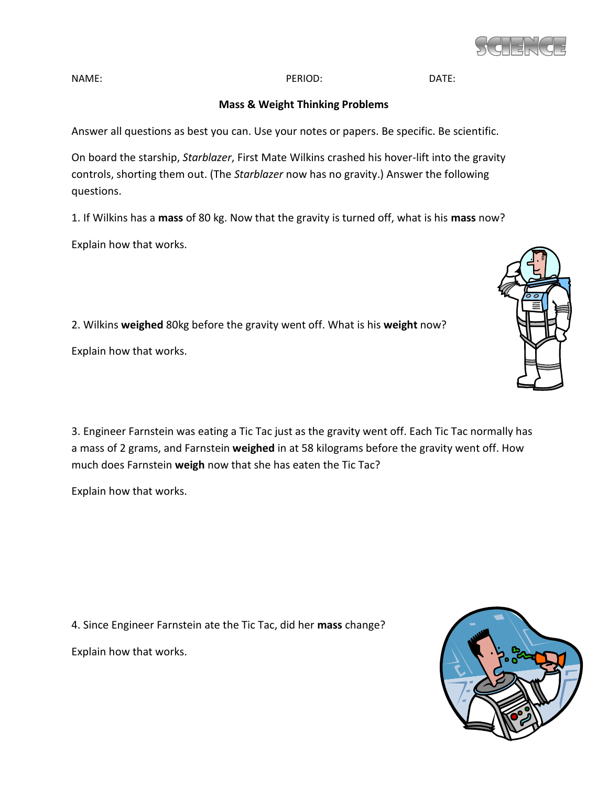

NAME: DATE: PERIOD: PERIOD: DATE:

## **Mass & Weight Thinking Problems**

Answer all questions as best you can. Use your notes or papers. Be specific. Be scientific.

On board the starship, *Starblazer*, First Mate Wilkins crashed his hover-lift into the gravity controls, shorting them out. (The *Starblazer* now has no gravity.) Answer the following questions.

1. If Wilkins has a **mass** of 80 kg. Now that the gravity is turned off, what is his **mass** now?

Explain how that works.

2. Wilkins **weighed** 80kg before the gravity went off. What is his **weight** now?

Explain how that works.

3. Engineer Farnstein was eating a Tic Tac just as the gravity went off. Each Tic Tac normally has a mass of 2 grams, and Farnstein **weighed** in at 58 kilograms before the gravity went off. How much does Farnstein **weigh** now that she has eaten the Tic Tac?

Explain how that works.

4. Since Engineer Farnstein ate the Tic Tac, did her **mass** change? Explain how that works.